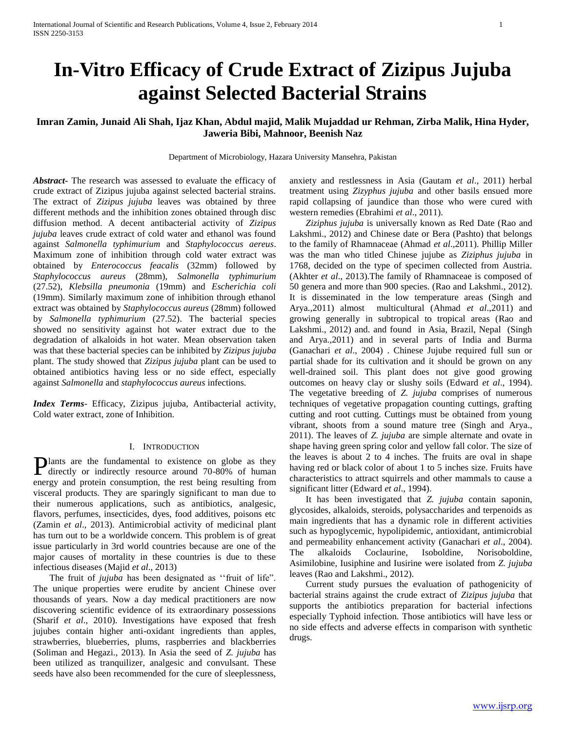# **In-Vitro Efficacy of Crude Extract of Zizipus Jujuba against Selected Bacterial Strains**

# **Imran Zamin, Junaid Ali Shah, Ijaz Khan, Abdul majid, Malik Mujaddad ur Rehman, Zirba Malik, Hina Hyder, Jaweria Bibi, Mahnoor, Beenish Naz**

Department of Microbiology, Hazara University Mansehra, Pakistan

*Abstract***-** The research was assessed to evaluate the efficacy of crude extract of Zizipus jujuba against selected bacterial strains. The extract of *Zizipus jujuba* leaves was obtained by three different methods and the inhibition zones obtained through disc diffusion method. A decent antibacterial activity of *Zizipus jujuba* leaves crude extract of cold water and ethanol was found against *Salmonella typhimurium* and *Staphylococcus aereus*. Maximum zone of inhibition through cold water extract was obtained by *Enterococcus feacalis* (32mm) followed by *Staphylococcus aureus* (28mm), *Salmonella typhimurium*  (27.52), *Klebsilla pneumonia* (19mm) and *Escherichia coli* (19mm). Similarly maximum zone of inhibition through ethanol extract was obtained by *Staphylococcus aureus* (28mm) followed by *Salmonella typhimurium* (27.52). The bacterial species showed no sensitivity against hot water extract due to the degradation of alkaloids in hot water. Mean observation taken was that these bacterial species can be inhibited by *Zizipus jujuba* plant. The study showed that *Zizipus jujuba* plant can be used to obtained antibiotics having less or no side effect, especially against *Salmonella* and *staphylococcus aureus* infections.

*Index Terms*- Efficacy, Zizipus jujuba, Antibacterial activity, Cold water extract, zone of Inhibition.

### I. INTRODUCTION

lants are the fundamental to existence on globe as they **Plants** are the fundamental to existence on globe as they directly or indirectly resource around 70-80% of human energy and protein consumption, the rest being resulting from visceral products. They are sparingly significant to man due to their numerous applications, such as antibiotics, analgesic, flavors, perfumes, insecticides, dyes, food additives, poisons etc (Zamin *et al*., 2013). Antimicrobial activity of medicinal plant has turn out to be a worldwide concern. This problem is of great issue particularly in 3rd world countries because are one of the major causes of mortality in these countries is due to these infectious diseases (Majid *et al*., 2013)

The fruit of *jujuba* has been designated as "fruit of life". The unique properties were erudite by ancient Chinese over thousands of years. Now a day medical practitioners are now discovering scientific evidence of its extraordinary possessions (Sharif *et al*., 2010). Investigations have exposed that fresh jujubes contain higher anti-oxidant ingredients than apples, strawberries, blueberries, plums, raspberries and blackberries (Soliman and Hegazi., 2013). In Asia the seed of *Z. jujuba* has been utilized as tranquilizer, analgesic and convulsant. These seeds have also been recommended for the cure of sleeplessness,

anxiety and restlessness in Asia (Gautam *et al*., 2011) herbal treatment using *Zizyphus jujuba* and other basils ensued more rapid collapsing of jaundice than those who were cured with western remedies (Ebrahimi *et al*., 2011).

 *Ziziphus jujuba* is universally known as Red Date (Rao and Lakshmi., 2012) and Chinese date or Bera (Pashto) that belongs to the family of Rhamnaceae (Ahmad *et al*.,2011). Phillip Miller was the man who titled Chinese jujube as *Ziziphus jujuba* in 1768, decided on the type of specimen collected from Austria. (Akhter *et al*., 2013).The family of Rhamnaceae is composed of 50 genera and more than 900 species. (Rao and Lakshmi., 2012). It is disseminated in the low temperature areas (Singh and Arya.,2011) almost multicultural (Ahmad *et al*.,2011) and growing generally in subtropical to tropical areas (Rao and Lakshmi., 2012) and. and found in Asia, Brazil, Nepal (Singh and Arya.,2011) and in several parts of India and Burma (Ganachari *et al*., 2004) . Chinese Jujube required full sun or partial shade for its cultivation and it should be grown on any well-drained soil. This plant does not give good growing outcomes on heavy clay or slushy soils (Edward *et al*., 1994). The vegetative breeding of *Z. jujuba* comprises of numerous techniques of vegetative propagation counting cuttings, grafting cutting and root cutting. Cuttings must be obtained from young vibrant, shoots from a sound mature tree (Singh and Arya., 2011). The leaves of *Z. jujuba* are simple alternate and ovate in shape having green spring color and yellow fall color. The size of the leaves is about 2 to 4 inches. The fruits are oval in shape having red or black color of about 1 to 5 inches size. Fruits have characteristics to attract squirrels and other mammals to cause a significant litter (Edward *et al*., 1994).

 It has been investigated that *Z. jujuba* contain saponin, glycosides, alkaloids, steroids, polysaccharides and terpenoids as main ingredients that has a dynamic role in different activities such as hypoglycemic, hypolipidemic, antioxidant, antimicrobial and permeability enhancement activity (Ganachari *et al*., 2004). The alkaloids Coclaurine, Isoboldine, Norisoboldine, Asimilobine, Iusiphine and Iusirine were isolated from *Z. jujuba*  leaves (Rao and Lakshmi., 2012).

 Current study pursues the evaluation of pathogenicity of bacterial strains against the crude extract of *Zizipus jujuba* that supports the antibiotics preparation for bacterial infections especially Typhoid infection. Those antibiotics will have less or no side effects and adverse effects in comparison with synthetic drugs.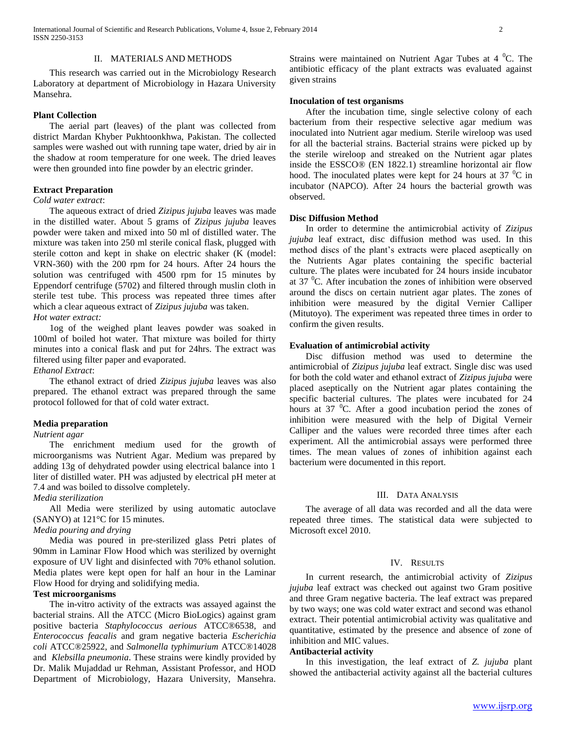## II. MATERIALS AND METHODS

 This research was carried out in the Microbiology Research Laboratory at department of Microbiology in Hazara University Mansehra.

## **Plant Collection**

 The aerial part (leaves) of the plant was collected from district Mardan Khyber Pukhtoonkhwa, Pakistan. The collected samples were washed out with running tape water, dried by air in the shadow at room temperature for one week. The dried leaves were then grounded into fine powder by an electric grinder.

# **Extract Preparation**

#### *Cold water extract*:

 The aqueous extract of dried *Zizipus jujuba* leaves was made in the distilled water. About 5 grams of *Zizipus jujuba* leaves powder were taken and mixed into 50 ml of distilled water. The mixture was taken into 250 ml sterile conical flask, plugged with sterile cotton and kept in shake on electric shaker (K (model: VRN-360) with the 200 rpm for 24 hours. After 24 hours the solution was centrifuged with 4500 rpm for 15 minutes by Eppendorf centrifuge (5702) and filtered through muslin cloth in sterile test tube. This process was repeated three times after which a clear aqueous extract of *Zizipus jujuba* was taken.

# *Hot water extract:*

 1og of the weighed plant leaves powder was soaked in 100ml of boiled hot water. That mixture was boiled for thirty minutes into a conical flask and put for 24hrs. The extract was filtered using filter paper and evaporated.

# *Ethanol Extract*:

 The ethanol extract of dried *Zizipus jujuba* leaves was also prepared. The ethanol extract was prepared through the same protocol followed for that of cold water extract.

#### **Media preparation**

### *Nutrient agar*

 The enrichment medium used for the growth of microorganisms was Nutrient Agar. Medium was prepared by adding 13g of dehydrated powder using electrical balance into 1 liter of distilled water. PH was adjusted by electrical pH meter at 7.4 and was boiled to dissolve completely.

# *Media sterilization*

 All Media were sterilized by using automatic autoclave (SANYO) at 121°C for 15 minutes.

# *Media pouring and drying*

 Media was poured in pre-sterilized glass Petri plates of 90mm in Laminar Flow Hood which was sterilized by overnight exposure of UV light and disinfected with 70% ethanol solution. Media plates were kept open for half an hour in the Laminar Flow Hood for drying and solidifying media.

# **Test microorganisms**

 The in-vitro activity of the extracts was assayed against the bacterial strains. All the ATCC (Micro BioLogics) against gram positive bacteria *Staphylococcus aerious* ATCC®6538, and *Enterococcus feacalis* and gram negative bacteria *Escherichia coli* ATCC®25922, and *Salmonella typhimurium* ATCC®14028 and *Klebsilla pneumonia*. These strains were kindly provided by Dr. Malik Mujaddad ur Rehman, Assistant Professor, and HOD Department of Microbiology, Hazara University, Mansehra.

Strains were maintained on Nutrient Agar Tubes at  $4^{\circ}$ C. The antibiotic efficacy of the plant extracts was evaluated against given strains

# **Inoculation of test organisms**

 After the incubation time, single selective colony of each bacterium from their respective selective agar medium was inoculated into Nutrient agar medium. Sterile wireloop was used for all the bacterial strains. Bacterial strains were picked up by the sterile wireloop and streaked on the Nutrient agar plates inside the ESSCO® (EN 1822.1) streamline horizontal air flow hood. The inoculated plates were kept for 24 hours at 37  $\mathrm{^0C}$  in incubator (NAPCO). After 24 hours the bacterial growth was observed.

# **Disc Diffusion Method**

 In order to determine the antimicrobial activity of *Zizipus jujuba* leaf extract, disc diffusion method was used. In this method discs of the plant's extracts were placed aseptically on the Nutrients Agar plates containing the specific bacterial culture. The plates were incubated for 24 hours inside incubator at  $37 \text{ °C}$ . After incubation the zones of inhibition were observed around the discs on certain nutrient agar plates. The zones of inhibition were measured by the digital Vernier Calliper (Mitutoyo). The experiment was repeated three times in order to confirm the given results.

## **Evaluation of antimicrobial activity**

 Disc diffusion method was used to determine the antimicrobial of *Zizipus jujuba* leaf extract. Single disc was used for both the cold water and ethanol extract of *Zizipus jujuba* were placed aseptically on the Nutrient agar plates containing the specific bacterial cultures. The plates were incubated for 24 hours at 37  $\mathrm{^{0}C}$ . After a good incubation period the zones of inhibition were measured with the help of Digital Verneir Calliper and the values were recorded three times after each experiment. All the antimicrobial assays were performed three times. The mean values of zones of inhibition against each bacterium were documented in this report.

#### III. DATA ANALYSIS

 The average of all data was recorded and all the data were repeated three times. The statistical data were subjected to Microsoft excel 2010.

## IV. RESULTS

 In current research, the antimicrobial activity of *Zizipus jujuba* leaf extract was checked out against two Gram positive and three Gram negative bacteria. The leaf extract was prepared by two ways; one was cold water extract and second was ethanol extract. Their potential antimicrobial activity was qualitative and quantitative, estimated by the presence and absence of zone of inhibition and MIC values.

# **Antibacterial activity**

 In this investigation, the leaf extract of *Z. jujuba* plant showed the antibacterial activity against all the bacterial cultures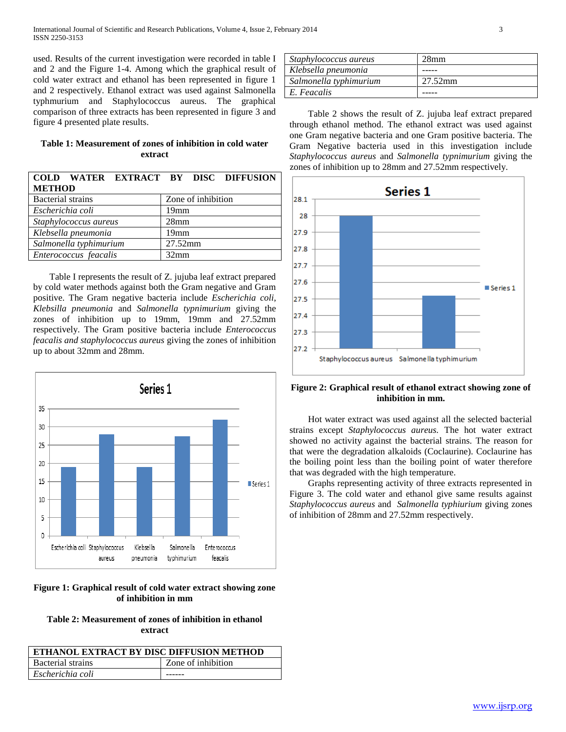used. Results of the current investigation were recorded in table I and 2 and the Figure 1-4. Among which the graphical result of cold water extract and ethanol has been represented in figure 1 and 2 respectively. Ethanol extract was used against Salmonella typhmurium and Staphylococcus aureus. The graphical comparison of three extracts has been represented in figure 3 and figure 4 presented plate results.

| Table 1: Measurement of zones of inhibition in cold water |  |  |  |  |  |  |
|-----------------------------------------------------------|--|--|--|--|--|--|
| extract                                                   |  |  |  |  |  |  |

| COLD WATER EXTRACT BY DISC DIFFUSION |                    |  |  |  |
|--------------------------------------|--------------------|--|--|--|
| <b>METHOD</b>                        |                    |  |  |  |
| <b>Bacterial strains</b>             | Zone of inhibition |  |  |  |
| Escherichia coli                     | 19 <sub>mm</sub>   |  |  |  |
| Staphylococcus aureus                | 28 <sub>mm</sub>   |  |  |  |
| Klebsella pneumonia                  | 19 <sub>mm</sub>   |  |  |  |
| Salmonella typhimurium               | 27.52mm            |  |  |  |
| Enterococcus feacalis                | 32mm               |  |  |  |

 Table I represents the result of Z. jujuba leaf extract prepared by cold water methods against both the Gram negative and Gram positive. The Gram negative bacteria include *Escherichia coli*, *Klebsilla pneumonia* and *Salmonella typnimurium* giving the zones of inhibition up to 19mm, 19mm and 27.52mm respectively. The Gram positive bacteria include *Enterococcus feacalis and staphylococcus aureus* giving the zones of inhibition up to about 32mm and 28mm.



# **Figure 1: Graphical result of cold water extract showing zone of inhibition in mm**

**Table 2: Measurement of zones of inhibition in ethanol extract**

| ETHANOL EXTRACT BY DISC DIFFUSION METHOD |                    |  |  |  |
|------------------------------------------|--------------------|--|--|--|
| Bacterial strains                        | Zone of inhibition |  |  |  |
| Escherichia coli                         |                    |  |  |  |

| Staphylococcus aureus  | 28mm    |
|------------------------|---------|
| Klebsella pneumonia    |         |
| Salmonella typhimurium | 27.52mm |
| E. Feacalis            |         |

 Table 2 shows the result of Z. jujuba leaf extract prepared through ethanol method. The ethanol extract was used against one Gram negative bacteria and one Gram positive bacteria. The Gram Negative bacteria used in this investigation include *Staphylococcus aureus* and *Salmonella typnimurium* giving the zones of inhibition up to 28mm and 27.52mm respectively.



## **Figure 2: Graphical result of ethanol extract showing zone of inhibition in mm.**

 Hot water extract was used against all the selected bacterial strains except *Staphylococcus aureus.* The hot water extract showed no activity against the bacterial strains. The reason for that were the degradation alkaloids (Coclaurine). Coclaurine has the boiling point less than the boiling point of water therefore that was degraded with the high temperature.

 Graphs representing activity of three extracts represented in Figure 3. The cold water and ethanol give same results against *Staphylococcus aureus* and *Salmonella typhiurium* giving zones of inhibition of 28mm and 27.52mm respectively.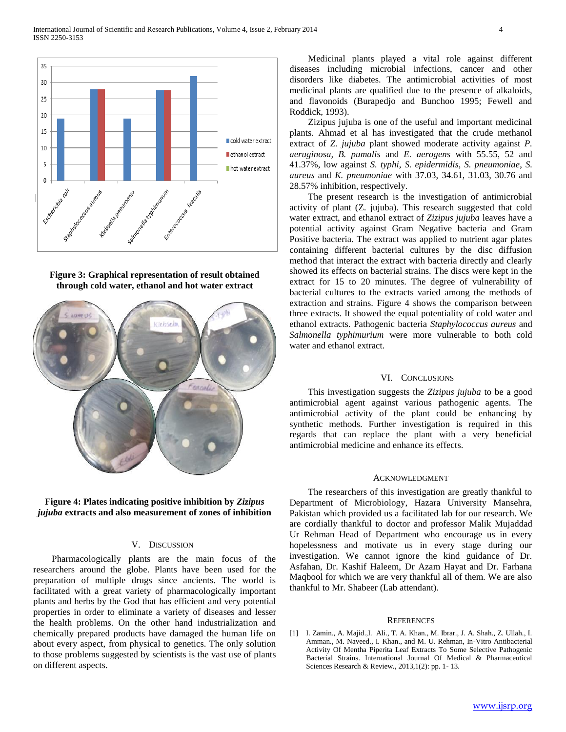

**Figure 3: Graphical representation of result obtained through cold water, ethanol and hot water extract**





# V. DISCUSSION

Pharmacologically plants are the main focus of the researchers around the globe. Plants have been used for the preparation of multiple drugs since ancients. The world is facilitated with a great variety of pharmacologically important plants and herbs by the God that has efficient and very potential properties in order to eliminate a variety of diseases and lesser the health problems. On the other hand industrialization and chemically prepared products have damaged the human life on about every aspect, from physical to genetics. The only solution to those problems suggested by scientists is the vast use of plants on different aspects.

Medicinal plants played a vital role against different diseases including microbial infections, cancer and other disorders like diabetes. The antimicrobial activities of most medicinal plants are qualified due to the presence of alkaloids, and flavonoids (Burapedjo and Bunchoo 1995; Fewell and Roddick, 1993).

Zizipus jujuba is one of the useful and important medicinal plants. Ahmad et al has investigated that the crude methanol extract of *Z. jujuba* plant showed moderate activity against *P. aeruginosa, B. pumalis* and *E. aerogens* with 55.55, 52 and 41.37%, low against *S. typhi*, *S. epidermidis*, *S. pneumoniae*, *S. aureus* and *K. pneumoniae* with 37.03, 34.61, 31.03, 30.76 and 28.57% inhibition, respectively.

The present research is the investigation of antimicrobial activity of plant (Z. jujuba). This research suggested that cold water extract, and ethanol extract of *Zizipus jujuba* leaves have a potential activity against Gram Negative bacteria and Gram Positive bacteria. The extract was applied to nutrient agar plates containing different bacterial cultures by the disc diffusion method that interact the extract with bacteria directly and clearly showed its effects on bacterial strains. The discs were kept in the extract for 15 to 20 minutes. The degree of vulnerability of bacterial cultures to the extracts varied among the methods of extraction and strains. Figure 4 shows the comparison between three extracts. It showed the equal potentiality of cold water and ethanol extracts. Pathogenic bacteria *Staphylococcus aureus* and *Salmonella typhimurium* were more vulnerable to both cold water and ethanol extract.

# VI. CONCLUSIONS

This investigation suggests the *Zizipus jujuba* to be a good antimicrobial agent against various pathogenic agents. The antimicrobial activity of the plant could be enhancing by synthetic methods. Further investigation is required in this regards that can replace the plant with a very beneficial antimicrobial medicine and enhance its effects.

## ACKNOWLEDGMENT

The researchers of this investigation are greatly thankful to Department of Microbiology, Hazara University Mansehra, Pakistan which provided us a facilitated lab for our research. We are cordially thankful to doctor and professor Malik Mujaddad Ur Rehman Head of Department who encourage us in every hopelessness and motivate us in every stage during our investigation. We cannot ignore the kind guidance of Dr. Asfahan, Dr. Kashif Haleem, Dr Azam Hayat and Dr. Farhana Maqbool for which we are very thankful all of them. We are also thankful to Mr. Shabeer (Lab attendant).

#### **REFERENCES**

[1] I. Zamin., A. Majid.,I. Ali., T. A. Khan., M. Ibrar., J. A. Shah., Z. Ullah., I. Amman., M. Naveed., I. Khan., and M. U. Rehman, In-Vitro Antibacterial Activity Of Mentha Piperita Leaf Extracts To Some Selective Pathogenic Bacterial Strains. International Journal Of Medical & Pharmaceutical Sciences Research & Review., 2013,1(2): pp. 1- 13.